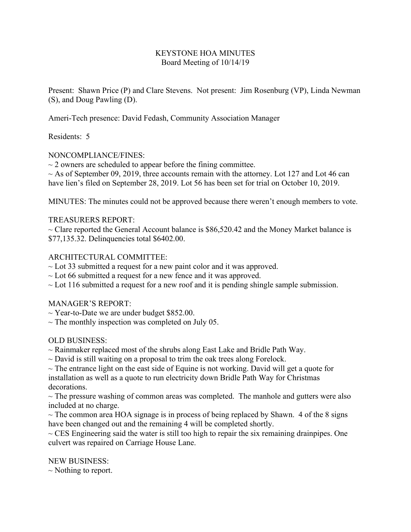## KEYSTONE HOA MINUTES Board Meeting of 10/14/19

Present: Shawn Price (P) and Clare Stevens. Not present: Jim Rosenburg (VP), Linda Newman (S), and Doug Pawling (D).

Ameri-Tech presence: David Fedash, Community Association Manager

Residents: 5

## NONCOMPLIANCE/FINES:

 $\sim$  2 owners are scheduled to appear before the fining committee.

 $\sim$  As of September 09, 2019, three accounts remain with the attorney. Lot 127 and Lot 46 can have lien's filed on September 28, 2019. Lot 56 has been set for trial on October 10, 2019.

MINUTES: The minutes could not be approved because there weren't enough members to vote.

## TREASURERS REPORT:

 $\sim$  Clare reported the General Account balance is \$86,520.42 and the Money Market balance is \$77,135.32. Delinquencies total \$6402.00.

## ARCHITECTURAL COMMITTEE:

 $\sim$  Lot 33 submitted a request for a new paint color and it was approved.

- $\sim$  Lot 66 submitted a request for a new fence and it was approved.
- $\sim$  Lot 116 submitted a request for a new roof and it is pending shingle sample submission.

#### MANAGER'S REPORT:

- $\sim$  Year-to-Date we are under budget \$852.00.
- $\sim$  The monthly inspection was completed on July 05.

# OLD BUSINESS:

- $\sim$  Rainmaker replaced most of the shrubs along East Lake and Bridle Path Way.
- $\sim$  David is still waiting on a proposal to trim the oak trees along Forelock.

 $\sim$  The entrance light on the east side of Equine is not working. David will get a quote for installation as well as a quote to run electricity down Bridle Path Way for Christmas decorations.

 $\sim$  The pressure washing of common areas was completed. The manhole and gutters were also included at no charge.

 $\sim$  The common area HOA signage is in process of being replaced by Shawn. 4 of the 8 signs have been changed out and the remaining 4 will be completed shortly.

 $\sim$  CES Engineering said the water is still too high to repair the six remaining drainpipes. One culvert was repaired on Carriage House Lane.

NEW BUSINESS:

 $\sim$  Nothing to report.